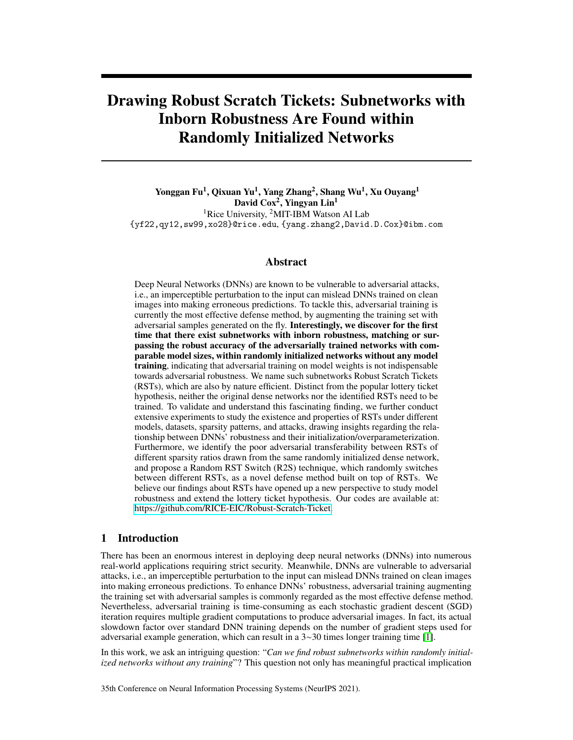# Drawing Robust Scratch Tickets: Subnetworks with Inborn Robustness Are Found within Randomly Initialized Networks

Yonggan Fu<sup>1</sup>, Qixuan Yu<sup>1</sup>, Yang Zhang<sup>2</sup>, Shang Wu<sup>1</sup>, Xu Ouyang<sup>1</sup> David Cox<sup>2</sup>, Yingyan Lin<sup>1</sup> <sup>1</sup>Rice University, <sup>2</sup>MIT-IBM Watson AI Lab

{yf22,qy12,sw99,xo28}@rice.edu, {yang.zhang2,David.D.Cox}@ibm.com

# Abstract

Deep Neural Networks (DNNs) are known to be vulnerable to adversarial attacks, i.e., an imperceptible perturbation to the input can mislead DNNs trained on clean images into making erroneous predictions. To tackle this, adversarial training is currently the most effective defense method, by augmenting the training set with adversarial samples generated on the fly. Interestingly, we discover for the first time that there exist subnetworks with inborn robustness, matching or surpassing the robust accuracy of the adversarially trained networks with comparable model sizes, within randomly initialized networks without any model training, indicating that adversarial training on model weights is not indispensable towards adversarial robustness. We name such subnetworks Robust Scratch Tickets (RSTs), which are also by nature efficient. Distinct from the popular lottery ticket hypothesis, neither the original dense networks nor the identified RSTs need to be trained. To validate and understand this fascinating finding, we further conduct extensive experiments to study the existence and properties of RSTs under different models, datasets, sparsity patterns, and attacks, drawing insights regarding the relationship between DNNs' robustness and their initialization/overparameterization. Furthermore, we identify the poor adversarial transferability between RSTs of different sparsity ratios drawn from the same randomly initialized dense network, and propose a Random RST Switch (R2S) technique, which randomly switches between different RSTs, as a novel defense method built on top of RSTs. We believe our findings about RSTs have opened up a new perspective to study model robustness and extend the lottery ticket hypothesis. Our codes are available at: [https://github.com/RICE-EIC/Robust-Scratch-Ticket.](https://github.com/RICE-EIC/Robust-Scratch-Ticket)

# 1 Introduction

There has been an enormous interest in deploying deep neural networks (DNNs) into numerous real-world applications requiring strict security. Meanwhile, DNNs are vulnerable to adversarial attacks, i.e., an imperceptible perturbation to the input can mislead DNNs trained on clean images into making erroneous predictions. To enhance DNNs' robustness, adversarial training augmenting the training set with adversarial samples is commonly regarded as the most effective defense method. Nevertheless, adversarial training is time-consuming as each stochastic gradient descent (SGD) iteration requires multiple gradient computations to produce adversarial images. In fact, its actual slowdown factor over standard DNN training depends on the number of gradient steps used for adversarial example generation, which can result in a 3∼30 times longer training time [\[1\]](#page-10-0).

In this work, we ask an intriguing question: "*Can we find robust subnetworks within randomly initialized networks without any training*"? This question not only has meaningful practical implication

35th Conference on Neural Information Processing Systems (NeurIPS 2021).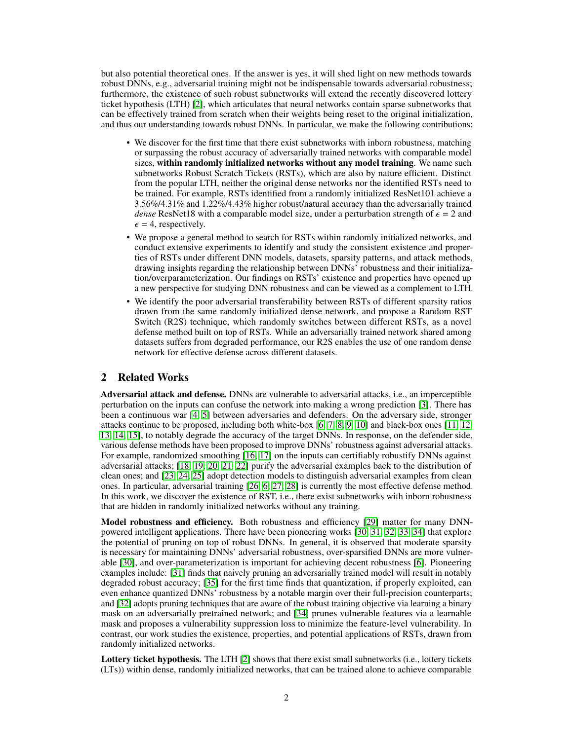but also potential theoretical ones. If the answer is yes, it will shed light on new methods towards robust DNNs, e.g., adversarial training might not be indispensable towards adversarial robustness; furthermore, the existence of such robust subnetworks will extend the recently discovered lottery ticket hypothesis (LTH) [\[2\]](#page-10-1), which articulates that neural networks contain sparse subnetworks that can be effectively trained from scratch when their weights being reset to the original initialization, and thus our understanding towards robust DNNs. In particular, we make the following contributions:

- We discover for the first time that there exist subnetworks with inborn robustness, matching or surpassing the robust accuracy of adversarially trained networks with comparable model sizes, within randomly initialized networks without any model training. We name such subnetworks Robust Scratch Tickets (RSTs), which are also by nature efficient. Distinct from the popular LTH, neither the original dense networks nor the identified RSTs need to be trained. For example, RSTs identified from a randomly initialized ResNet101 achieve a 3.56%/4.31% and 1.22%/4.43% higher robust/natural accuracy than the adversarially trained *dense* ResNet18 with a comparable model size, under a perturbation strength of  $\epsilon = 2$  and  $\epsilon$  = 4, respectively.
- We propose a general method to search for RSTs within randomly initialized networks, and conduct extensive experiments to identify and study the consistent existence and properties of RSTs under different DNN models, datasets, sparsity patterns, and attack methods, drawing insights regarding the relationship between DNNs' robustness and their initialization/overparameterization. Our findings on RSTs' existence and properties have opened up a new perspective for studying DNN robustness and can be viewed as a complement to LTH.
- We identify the poor adversarial transferability between RSTs of different sparsity ratios drawn from the same randomly initialized dense network, and propose a Random RST Switch (R2S) technique, which randomly switches between different RSTs, as a novel defense method built on top of RSTs. While an adversarially trained network shared among datasets suffers from degraded performance, our R2S enables the use of one random dense network for effective defense across different datasets.

# 2 Related Works

Adversarial attack and defense. DNNs are vulnerable to adversarial attacks, i.e., an imperceptible perturbation on the inputs can confuse the network into making a wrong prediction [\[3\]](#page-10-2). There has been a continuous war [\[4,](#page-10-3) [5\]](#page-10-4) between adversaries and defenders. On the adversary side, stronger attacks continue to be proposed, including both white-box [\[6,](#page-10-5) [7,](#page-10-6) [8,](#page-10-7) [9,](#page-10-8) [10\]](#page-10-9) and black-box ones [\[11,](#page-10-10) [12,](#page-10-11) [13,](#page-10-12) [14,](#page-10-13) [15\]](#page-10-14), to notably degrade the accuracy of the target DNNs. In response, on the defender side, various defense methods have been proposed to improve DNNs' robustness against adversarial attacks. For example, randomized smoothing [\[16,](#page-11-0) [17\]](#page-11-1) on the inputs can certifiably robustify DNNs against adversarial attacks; [\[18,](#page-11-2) [19,](#page-11-3) [20,](#page-11-4) [21,](#page-11-5) [22\]](#page-11-6) purify the adversarial examples back to the distribution of clean ones; and [\[23,](#page-11-7) [24,](#page-11-8) [25\]](#page-11-9) adopt detection models to distinguish adversarial examples from clean ones. In particular, adversarial training [\[26,](#page-11-10) [6,](#page-10-5) [27,](#page-11-11) [28\]](#page-11-12) is currently the most effective defense method. In this work, we discover the existence of RST, i.e., there exist subnetworks with inborn robustness that are hidden in randomly initialized networks without any training.

Model robustness and efficiency. Both robustness and efficiency [\[29\]](#page-11-13) matter for many DNNpowered intelligent applications. There have been pioneering works [\[30,](#page-11-14) [31,](#page-11-15) [32,](#page-11-16) [33,](#page-11-17) [34\]](#page-12-0) that explore the potential of pruning on top of robust DNNs. In general, it is observed that moderate sparsity is necessary for maintaining DNNs' adversarial robustness, over-sparsified DNNs are more vulnerable [\[30\]](#page-11-14), and over-parameterization is important for achieving decent robustness [\[6\]](#page-10-5). Pioneering examples include: [\[31\]](#page-11-15) finds that naively pruning an adversarially trained model will result in notably degraded robust accuracy; [\[35\]](#page-12-1) for the first time finds that quantization, if properly exploited, can even enhance quantized DNNs' robustness by a notable margin over their full-precision counterparts; and [\[32\]](#page-11-16) adopts pruning techniques that are aware of the robust training objective via learning a binary mask on an adversarially pretrained network; and [\[34\]](#page-12-0) prunes vulnerable features via a learnable mask and proposes a vulnerability suppression loss to minimize the feature-level vulnerability. In contrast, our work studies the existence, properties, and potential applications of RSTs, drawn from randomly initialized networks.

Lottery ticket hypothesis. The LTH [\[2\]](#page-10-1) shows that there exist small subnetworks (i.e., lottery tickets (LTs)) within dense, randomly initialized networks, that can be trained alone to achieve comparable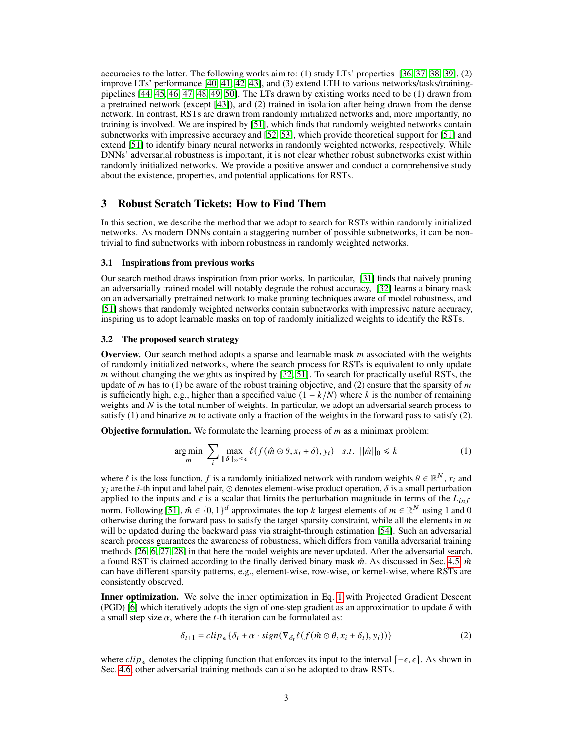accuracies to the latter. The following works aim to: (1) study LTs' properties [\[36,](#page-12-2) [37,](#page-12-3) [38,](#page-12-4) [39\]](#page-12-5), (2) improve LTs' performance [\[40,](#page-12-6) [41,](#page-12-7) [42,](#page-12-8) [43\]](#page-12-9), and (3) extend LTH to various networks/tasks/trainingpipelines [\[44,](#page-12-10) [45,](#page-12-11) [46,](#page-12-12) [47,](#page-12-13) [48,](#page-12-14) [49,](#page-12-15) [50\]](#page-12-16). The LTs drawn by existing works need to be (1) drawn from a pretrained network (except [\[43\]](#page-12-9)), and (2) trained in isolation after being drawn from the dense network. In contrast, RSTs are drawn from randomly initialized networks and, more importantly, no training is involved. We are inspired by [\[51\]](#page-12-17), which finds that randomly weighted networks contain subnetworks with impressive accuracy and [\[52,](#page-13-0) [53\]](#page-13-1), which provide theoretical support for [\[51\]](#page-12-17) and extend [\[51\]](#page-12-17) to identify binary neural networks in randomly weighted networks, respectively. While DNNs' adversarial robustness is important, it is not clear whether robust subnetworks exist within randomly initialized networks. We provide a positive answer and conduct a comprehensive study about the existence, properties, and potential applications for RSTs.

## <span id="page-2-1"></span>3 Robust Scratch Tickets: How to Find Them

In this section, we describe the method that we adopt to search for RSTs within randomly initialized networks. As modern DNNs contain a staggering number of possible subnetworks, it can be nontrivial to find subnetworks with inborn robustness in randomly weighted networks.

#### 3.1 Inspirations from previous works

Our search method draws inspiration from prior works. In particular, [\[31\]](#page-11-15) finds that naively pruning an adversarially trained model will notably degrade the robust accuracy, [\[32\]](#page-11-16) learns a binary mask on an adversarially pretrained network to make pruning techniques aware of model robustness, and [\[51\]](#page-12-17) shows that randomly weighted networks contain subnetworks with impressive nature accuracy, inspiring us to adopt learnable masks on top of randomly initialized weights to identify the RSTs.

#### 3.2 The proposed search strategy

**Overview.** Our search method adopts a sparse and learnable mask  $m$  associated with the weights of randomly initialized networks, where the search process for RSTs is equivalent to only update  *without changing the weights as inspired by*  $[32, 51]$  $[32, 51]$  $[32, 51]$ *. To search for practically useful RSTs, the* update of  $m$  has to (1) be aware of the robust training objective, and (2) ensure that the sparsity of  $m$ is sufficiently high, e.g., higher than a specified value  $(1 - k/N)$  where k is the number of remaining weights and  $N$  is the total number of weights. In particular, we adopt an adversarial search process to satisfy (1) and binarize  $m$  to activate only a fraction of the weights in the forward pass to satisfy (2).

<span id="page-2-0"></span>**Objective formulation.** We formulate the learning process of  $m$  as a minimax problem:

$$
\underset{m}{\arg\min} \ \sum_{i} \max_{\|\delta\|_{\infty} \leq \epsilon} \ell(f(\hat{m} \odot \theta, x_i + \delta), y_i) \quad s.t. \ |\|\hat{m}\|_{0} \leq k \tag{1}
$$

where  $\ell$  is the loss function,  $f$  is a randomly initialized network with random weights  $\theta \in \mathbb{R}^N$ ,  $x_i$  and  $y_i$  are the *i*-th input and label pair,  $\odot$  denotes element-wise product operation,  $\delta$  is a small perturbation applied to the inputs and  $\epsilon$  is a scalar that limits the perturbation magnitude in terms of the  $L_{inf}$ norm. Following [\[51\]](#page-12-17),  $\hat{m} \in \{0, 1\}^d$  approximates the top k largest elements of  $m \in \mathbb{R}^N$  using 1 and 0 otherwise during the forward pass to satisfy the target sparsity constraint, while all the elements in  $m$ will be updated during the backward pass via straight-through estimation [\[54\]](#page-13-2). Such an adversarial search process guarantees the awareness of robustness, which differs from vanilla adversarial training methods [\[26,](#page-11-10) [6,](#page-10-5) [27,](#page-11-11) [28\]](#page-11-12) in that here the model weights are never updated. After the adversarial search, a found RST is claimed according to the finally derived binary mask  $\hat{m}$ . As discussed in Sec. [4.5,](#page-4-0)  $\hat{m}$ can have different sparsity patterns, e.g., element-wise, row-wise, or kernel-wise, where RSTs are consistently observed.

Inner optimization. We solve the inner optimization in Eq. [1](#page-2-0) with Projected Gradient Descent (PGD) [\[6\]](#page-10-5) which iteratively adopts the sign of one-step gradient as an approximation to update  $\delta$  with a small step size  $\alpha$ , where the *t*-th iteration can be formulated as:

$$
\delta_{t+1} = clip_{\epsilon} \{ \delta_t + \alpha \cdot sign(\nabla_{\delta_t} \ell(f(\hat{m} \odot \theta, x_i + \delta_t), y_i)) \}
$$
\n(2)

where  $clip_{\epsilon}$  denotes the clipping function that enforces its input to the interval  $[-\epsilon, \epsilon]$ . As shown in Sec. [4.6,](#page-4-1) other adversarial training methods can also be adopted to draw RSTs.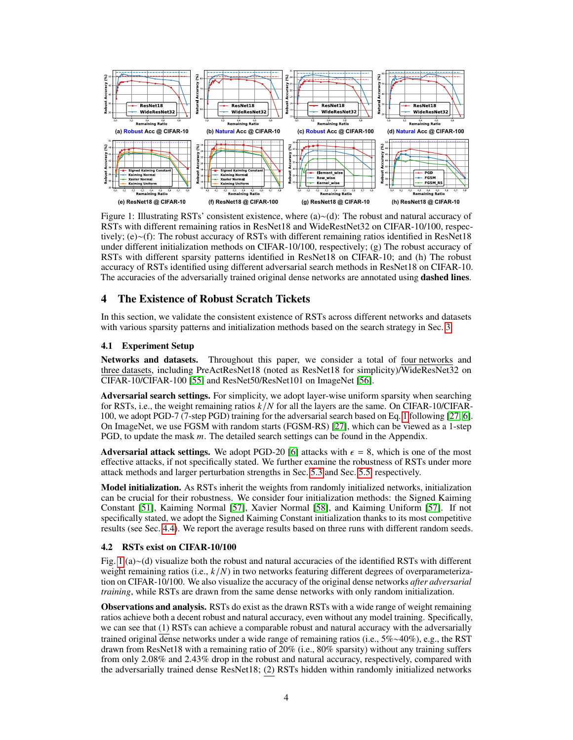<span id="page-3-0"></span>

Figure 1: Illustrating RSTs' consistent existence, where (a)∼(d): The robust and natural accuracy of RSTs with different remaining ratios in ResNet18 and WideRestNet32 on CIFAR-10/100, respectively; (e)∼(f): The robust accuracy of RSTs with different remaining ratios identified in ResNet18 under different initialization methods on CIFAR-10/100, respectively; (g) The robust accuracy of RSTs with different sparsity patterns identified in ResNet18 on CIFAR-10; and (h) The robust accuracy of RSTs identified using different adversarial search methods in ResNet18 on CIFAR-10. The accuracies of the adversarially trained original dense networks are annotated using **dashed lines**.

# 4 The Existence of Robust Scratch Tickets

In this section, we validate the consistent existence of RSTs across different networks and datasets with various sparsity patterns and initialization methods based on the search strategy in Sec. [3.](#page-2-1)

#### <span id="page-3-1"></span>4.1 Experiment Setup

Networks and datasets. Throughout this paper, we consider a total of four networks and three datasets, including PreActResNet18 (noted as ResNet18 for simplicity)/WideResNet32 on CIFAR-10/CIFAR-100 [\[55\]](#page-13-3) and ResNet50/ResNet101 on ImageNet [\[56\]](#page-13-4).

Adversarial search settings. For simplicity, we adopt layer-wise uniform sparsity when searching for RSTs, i.e., the weight remaining ratios  $k/N$  for all the layers are the same. On CIFAR-10/CIFAR-100, we adopt PGD-7 (7-step PGD) training for the adversarial search based on Eq. [1](#page-2-0) following [\[27,](#page-11-11) [6\]](#page-10-5). On ImageNet, we use FGSM with random starts (FGSM-RS) [\[27\]](#page-11-11), which can be viewed as a 1-step PGD, to update the mask  $m$ . The detailed search settings can be found in the Appendix.

Adversarial attack settings. We adopt PGD-20 [\[6\]](#page-10-5) attacks with  $\epsilon = 8$ , which is one of the most effective attacks, if not specifically stated. We further examine the robustness of RSTs under more attack methods and larger perturbation strengths in Sec. [5.3](#page-7-0) and Sec. [5.5,](#page-7-1) respectively.

**Model initialization.** As RSTs inherit the weights from randomly initialized networks, initialization can be crucial for their robustness. We consider four initialization methods: the Signed Kaiming Constant [\[51\]](#page-12-17), Kaiming Normal [\[57\]](#page-13-5), Xavier Normal [\[58\]](#page-13-6), and Kaiming Uniform [\[57\]](#page-13-5). If not specifically stated, we adopt the Signed Kaiming Constant initialization thanks to its most competitive results (see Sec. [4.4\)](#page-4-2). We report the average results based on three runs with different random seeds.

#### <span id="page-3-2"></span>4.2 RSTs exist on CIFAR-10/100

Fig. [1](#page-3-0) (a)∼(d) visualize both the robust and natural accuracies of the identified RSTs with different weight remaining ratios (i.e.,  $k/N$ ) in two networks featuring different degrees of overparameterization on CIFAR-10/100. We also visualize the accuracy of the original dense networks *after adversarial training*, while RSTs are drawn from the same dense networks with only random initialization.

Observations and analysis. RSTs do exist as the drawn RSTs with a wide range of weight remaining ratios achieve both a decent robust and natural accuracy, even without any model training. Specifically, we can see that (1) RSTs can achieve a comparable robust and natural accuracy with the adversarially trained original dense networks under a wide range of remaining ratios (i.e., 5%∼40%), e.g., the RST drawn from ResNet18 with a remaining ratio of 20% (i.e., 80% sparsity) without any training suffers from only 2.08% and 2.43% drop in the robust and natural accuracy, respectively, compared with the adversarially trained dense ResNet18; (2) RSTs hidden within randomly initialized networks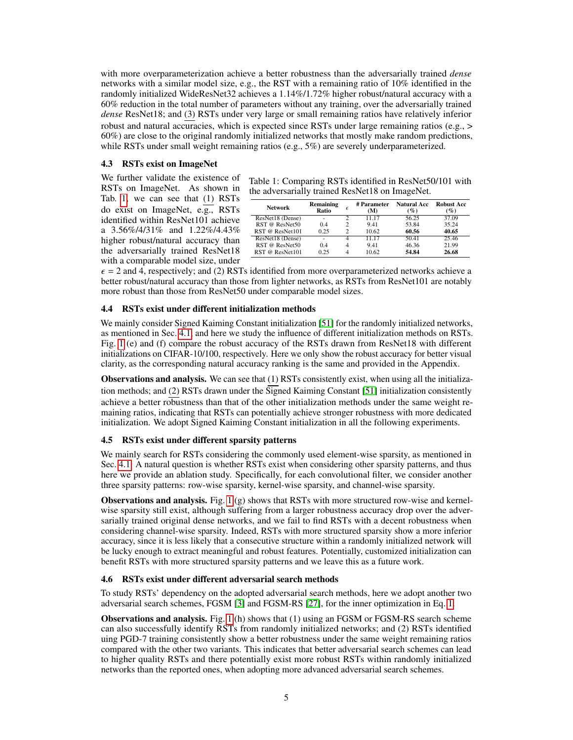with more overparameterization achieve a better robustness than the adversarially trained *dense* networks with a similar model size, e.g., the RST with a remaining ratio of 10% identified in the randomly initialized WideResNet32 achieves a 1.14%/1.72% higher robust/natural accuracy with a 60% reduction in the total number of parameters without any training, over the adversarially trained *dense* ResNet18; and (3) RSTs under very large or small remaining ratios have relatively inferior robust and natural accuracies, which is expected since RSTs under large remaining ratios (e.g.,  $>$ 60%) are close to the original randomly initialized networks that mostly make random predictions, while RSTs under small weight remaining ratios (e.g., 5%) are severely underparameterized.

# 4.3 RSTs exist on ImageNet

We further validate the existence of RSTs on ImageNet. As shown in Tab. [1,](#page-4-3) we can see that (1) RSTs do exist on ImageNet, e.g., RSTs identified within ResNet101 achieve a 3.56%/4/31% and 1.22%/4.43% higher robust/natural accuracy than the adversarially trained ResNet18 with a comparable model size, under

<span id="page-4-3"></span>

| Table 1: Comparing RSTs identified in ResNet50/101 with |  |
|---------------------------------------------------------|--|
| the adversarially trained ResNet18 on ImageNet.         |  |

| <b>Network</b>   | Remaining<br>Ratio | F | # Parameter<br>(M) | <b>Natural Acc</b><br>(%) | <b>Robust Acc</b><br>$($ %) |
|------------------|--------------------|---|--------------------|---------------------------|-----------------------------|
| ResNet18 (Dense) | ۰                  |   | 11 17              | 56.25                     | 37.09                       |
| RST @ ResNet50   | 0.4                | っ | 9.41               | 53.84                     | 35.24                       |
| RST @ ResNet101  | 0.25               |   | 10.62              | 60.56                     | 40.65                       |
| ResNet18 (Dense) | ۰                  | 4 | 11 17              | 50.41                     | 25.46                       |
| RST @ ResNet50   | 04                 |   | 9.41               | 46.36                     | 21.99                       |
| RST @ ResNet101  | 0.25               |   | 10.62              | 54.84                     | 26.68                       |

 $\epsilon$  = 2 and 4, respectively; and (2) RSTs identified from more overparameterized networks achieve a better robust/natural accuracy than those from lighter networks, as RSTs from ResNet101 are notably more robust than those from ResNet50 under comparable model sizes.

#### <span id="page-4-2"></span>4.4 RSTs exist under different initialization methods

We mainly consider Signed Kaiming Constant initialization [\[51\]](#page-12-17) for the randomly initialized networks, as mentioned in Sec. [4.1,](#page-3-1) and here we study the influence of different initialization methods on RSTs. Fig. [1](#page-3-0) (e) and (f) compare the robust accuracy of the RSTs drawn from ResNet18 with different initializations on CIFAR-10/100, respectively. Here we only show the robust accuracy for better visual clarity, as the corresponding natural accuracy ranking is the same and provided in the Appendix.

Observations and analysis. We can see that (1) RSTs consistently exist, when using all the initialization methods; and (2) RSTs drawn under the Signed Kaiming Constant [\[51\]](#page-12-17) initialization consistently achieve a better robustness than that of the other initialization methods under the same weight remaining ratios, indicating that RSTs can potentially achieve stronger robustness with more dedicated initialization. We adopt Signed Kaiming Constant initialization in all the following experiments.

#### <span id="page-4-0"></span>4.5 RSTs exist under different sparsity patterns

We mainly search for RSTs considering the commonly used element-wise sparsity, as mentioned in Sec. [4.1.](#page-3-1) A natural question is whether RSTs exist when considering other sparsity patterns, and thus here we provide an ablation study. Specifically, for each convolutional filter, we consider another three sparsity patterns: row-wise sparsity, kernel-wise sparsity, and channel-wise sparsity.

**Observations and analysis.** Fig. [1](#page-3-0) (g) shows that RSTs with more structured row-wise and kernelwise sparsity still exist, although suffering from a larger robustness accuracy drop over the adversarially trained original dense networks, and we fail to find RSTs with a decent robustness when considering channel-wise sparsity. Indeed, RSTs with more structured sparsity show a more inferior accuracy, since it is less likely that a consecutive structure within a randomly initialized network will be lucky enough to extract meaningful and robust features. Potentially, customized initialization can benefit RSTs with more structured sparsity patterns and we leave this as a future work.

#### <span id="page-4-1"></span>4.6 RSTs exist under different adversarial search methods

To study RSTs' dependency on the adopted adversarial search methods, here we adopt another two adversarial search schemes, FGSM [\[3\]](#page-10-2) and FGSM-RS [\[27\]](#page-11-11), for the inner optimization in Eq. [1.](#page-2-0)

Observations and analysis. Fig. [1](#page-3-0) (h) shows that (1) using an FGSM or FGSM-RS search scheme can also successfully identify RSTs from randomly initialized networks; and (2) RSTs identified uing PGD-7 training consistently show a better robustness under the same weight remaining ratios compared with the other two variants. This indicates that better adversarial search schemes can lead to higher quality RSTs and there potentially exist more robust RSTs within randomly initialized networks than the reported ones, when adopting more advanced adversarial search schemes.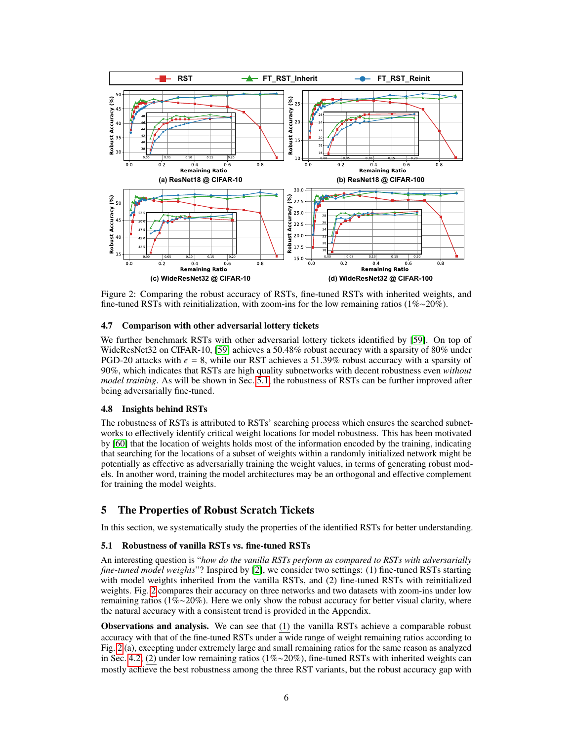<span id="page-5-1"></span>

Figure 2: Comparing the robust accuracy of RSTs, fine-tuned RSTs with inherited weights, and fine-tuned RSTs with reinitialization, with zoom-ins for the low remaining ratios (1%∼20%).

#### 4.7 Comparison with other adversarial lottery tickets

We further benchmark RSTs with other adversarial lottery tickets identified by [\[59\]](#page-13-7). On top of WideResNet32 on CIFAR-10, [\[59\]](#page-13-7) achieves a 50.48% robust accuracy with a sparsity of 80% under PGD-20 attacks with  $\epsilon = 8$ , while our RST achieves a 51.39% robust accuracy with a sparsity of 90%, which indicates that RSTs are high quality subnetworks with decent robustness even *without model training*. As will be shown in Sec. [5.1,](#page-5-0) the robustness of RSTs can be further improved after being adversarially fine-tuned.

#### 4.8 Insights behind RSTs

The robustness of RSTs is attributed to RSTs' searching process which ensures the searched subnetworks to effectively identify critical weight locations for model robustness. This has been motivated by [\[60\]](#page-13-8) that the location of weights holds most of the information encoded by the training, indicating that searching for the locations of a subset of weights within a randomly initialized network might be potentially as effective as adversarially training the weight values, in terms of generating robust models. In another word, training the model architectures may be an orthogonal and effective complement for training the model weights.

# 5 The Properties of Robust Scratch Tickets

In this section, we systematically study the properties of the identified RSTs for better understanding.

#### <span id="page-5-0"></span>5.1 Robustness of vanilla RSTs vs. fine-tuned RSTs

An interesting question is "*how do the vanilla RSTs perform as compared to RSTs with adversarially fine-tuned model weights*"? Inspired by [\[2\]](#page-10-1), we consider two settings: (1) fine-tuned RSTs starting with model weights inherited from the vanilla RSTs, and (2) fine-tuned RSTs with reinitialized weights. Fig. [2](#page-5-1) compares their accuracy on three networks and two datasets with zoom-ins under low remaining ratios (1%∼20%). Here we only show the robust accuracy for better visual clarity, where the natural accuracy with a consistent trend is provided in the Appendix.

Observations and analysis. We can see that (1) the vanilla RSTs achieve a comparable robust accuracy with that of the fine-tuned RSTs under  $\overline{a}$  wide range of weight remaining ratios according to Fig. [2](#page-5-1) (a), excepting under extremely large and small remaining ratios for the same reason as analyzed in Sec. [4.2;](#page-3-2) (2) under low remaining ratios (1%∼20%), fine-tuned RSTs with inherited weights can mostly achieve the best robustness among the three RST variants, but the robust accuracy gap with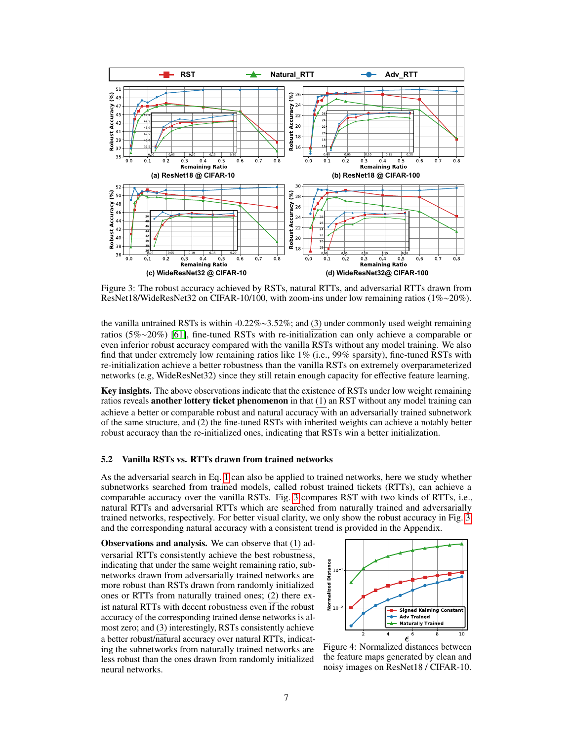<span id="page-6-0"></span>

Figure 3: The robust accuracy achieved by RSTs, natural RTTs, and adversarial RTTs drawn from ResNet18/WideResNet32 on CIFAR-10/100, with zoom-ins under low remaining ratios (1%∼20%).

the vanilla untrained RSTs is within -0.22%∼3.52%; and (3) under commonly used weight remaining ratios (5%∼20%) [\[61\]](#page-13-9), fine-tuned RSTs with re-initialization can only achieve a comparable or even inferior robust accuracy compared with the vanilla RSTs without any model training. We also find that under extremely low remaining ratios like 1% (i.e., 99% sparsity), fine-tuned RSTs with re-initialization achieve a better robustness than the vanilla RSTs on extremely overparameterized networks (e.g, WideResNet32) since they still retain enough capacity for effective feature learning.

Key insights. The above observations indicate that the existence of RSTs under low weight remaining ratios reveals **another lottery ticket phenomenon** in that (1) an RST without any model training can achieve a better or comparable robust and natural accuracy with an adversarially trained subnetwork of the same structure, and (2) the fine-tuned RSTs with inherited weights can achieve a notably better robust accuracy than the re-initialized ones, indicating that RSTs win a better initialization.

## <span id="page-6-2"></span>5.2 Vanilla RSTs vs. RTTs drawn from trained networks

As the adversarial search in Eq. [1](#page-2-0) can also be applied to trained networks, here we study whether subnetworks searched from trained models, called robust trained tickets (RTTs), can achieve a comparable accuracy over the vanilla RSTs. Fig. [3](#page-6-0) compares RST with two kinds of RTTs, i.e., natural RTTs and adversarial RTTs which are searched from naturally trained and adversarially trained networks, respectively. For better visual clarity, we only show the robust accuracy in Fig. [3,](#page-6-0) and the corresponding natural accuracy with a consistent trend is provided in the Appendix.

Observations and analysis. We can observe that (1) adversarial RTTs consistently achieve the best robustness,<br>indicating that under the same weight remaining ratio, sub-<br>networks drawn from adversarially trained networks are<br>more robust than RSTs drawn from randomly initial indicating that under the same weight remaining ratio, subnetworks drawn from adversarially trained networks are more robust than RSTs drawn from randomly initialized ones or RTTs from naturally trained ones; (2) there exist natural RTTs with decent robustness even if the robust accuracy of the corresponding trained dense networks is almost zero; and (3) interestingly, RSTs consistently achieve a better robust/natural accuracy over natural RTTs, indicating the subnetworks from naturally trained networks are less robust than the ones drawn from randomly initialized neural networks.

<span id="page-6-1"></span>

Figure 4: Normalized distances between the feature maps generated by clean and noisy images on ResNet18 / CIFAR-10.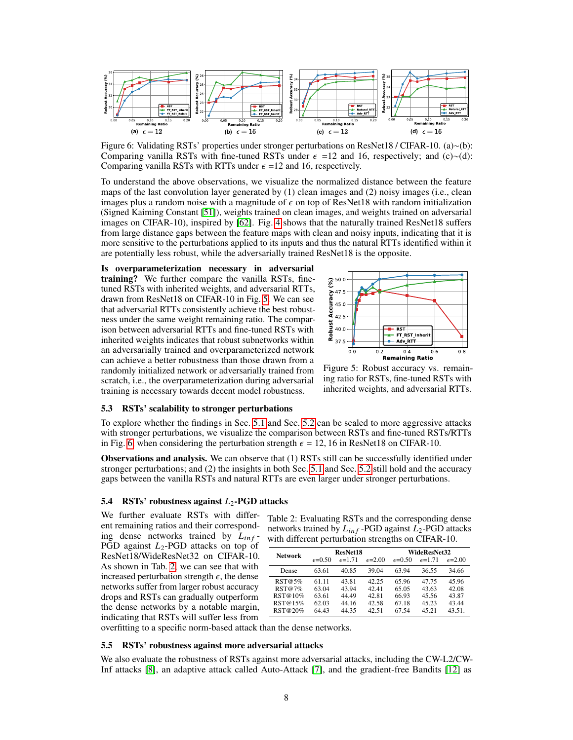<span id="page-7-3"></span>

Figure 6: Validating RSTs' properties under stronger perturbations on ResNet18 / CIFAR-10. (a)∼(b): Comparing vanilla RSTs with fine-tuned RSTs under  $\epsilon$  =12 and 16, respectively; and (c)∼(d): Comparing vanilla RSTs with RTTs under  $\epsilon$  =12 and 16, respectively.

To understand the above observations, we visualize the normalized distance between the feature maps of the last convolution layer generated by (1) clean images and (2) noisy images (i.e., clean images plus a random noise with a magnitude of  $\epsilon$  on top of ResNet18 with random initialization (Signed Kaiming Constant [\[51\]](#page-12-17)), weights trained on clean images, and weights trained on adversarial images on CIFAR-10), inspired by [\[62\]](#page-13-10). Fig. [4](#page-6-1) shows that the naturally trained ResNet18 suffers from large distance gaps between the feature maps with clean and noisy inputs, indicating that it is more sensitive to the perturbations applied to its inputs and thus the natural RTTs identified within it are potentially less robust, while the adversarially trained ResNet18 is the opposite.

Is overparameterization necessary in adversarial training? We further compare the vanilla RSTs, finetuned RSTs with inherited weights, and adversarial RTTs, drawn from ResNet18 on CIFAR-10 in Fig. [5.](#page-7-2) We can see that adversarial RTTs consistently achieve the best robustness under the same weight remaining ratio. The comparison between adversarial RTTs and fine-tuned RSTs with inherited weights indicates that robust subnetworks within an adversarially trained and overparameterized network can achieve a better robustness than those drawn from a randomly initialized network or adversarially trained from scratch, i.e., the overparameterization during adversarial training is necessary towards decent model robustness.

<span id="page-7-2"></span>

Figure 5: Robust accuracy vs. remaining ratio for RSTs, fine-tuned RSTs with inherited weights, and adversarial RTTs.

#### <span id="page-7-0"></span>5.3 RSTs' scalability to stronger perturbations

To explore whether the findings in Sec. [5.1](#page-5-0) and Sec. [5.2](#page-6-2) can be scaled to more aggressive attacks with stronger perturbations, we visualize the comparison between RSTs and fine-tuned RSTs/RTTs in Fig. [6,](#page-7-3) when considering the perturbation strength  $\epsilon = 12, 16$  in ResNet18 on CIFAR-10.

Observations and analysis. We can observe that (1) RSTs still can be successfully identified under stronger perturbations; and (2) the insights in both Sec. [5.1](#page-5-0) and Sec. [5.2](#page-6-2) still hold and the accuracy gaps between the vanilla RSTs and natural RTTs are even larger under stronger perturbations.

#### 5.4 RSTs' robustness against  $L_2$ -PGD attacks

We further evaluate RSTs with different remaining ratios and their corresponding dense networks trained by  $L_{inf}$ -PGD against  $L_2$ -PGD attacks on top of ResNet18/WideResNet32 on CIFAR-10. As shown in Tab. [2,](#page-7-4) we can see that with increased perturbation strength  $\epsilon$ , the dense networks suffer from larger robust accuracy drops and RSTs can gradually outperform the dense networks by a notable margin, indicating that RSTs will suffer less from

<span id="page-7-4"></span>Table 2: Evaluating RSTs and the corresponding dense networks trained by  $L_{inf}$  -PGD against  $L_2$ -PGD attacks with different perturbation strengths on CIFAR-10.

| <b>Network</b> | ResNet18          |                  |                   | WideResNet32     |                   |                   |
|----------------|-------------------|------------------|-------------------|------------------|-------------------|-------------------|
|                | $\epsilon = 0.50$ | $\epsilon$ =1.71 | $\epsilon = 2.00$ | $\epsilon$ =0.50 | $\epsilon = 1.71$ | $\epsilon = 2.00$ |
| Dense          | 63.61             | 40.85            | 39.04             | 63.94            | 36.55             | 34.66             |
| RST@5%         | 61.11             | 43.81            | 42.25             | 65.96            | 47.75             | 45.96             |
| RST@7%         | 63.04             | 43.94            | 42.41             | 65.05            | 43.63             | 42.08             |
| RST@10%        | 63.61             | 44.49            | 42.81             | 66.93            | 45.56             | 43.87             |
| RST@15%        | 62.03             | 44.16            | 42.58             | 67.18            | 45.23             | 43.44             |
| RST@20%        | 64.43             | 44.35            | 42.51             | 67.54            | 45.21             | 43.51.            |

overfitting to a specific norm-based attack than the dense networks.

#### <span id="page-7-1"></span>5.5 RSTs' robustness against more adversarial attacks

We also evaluate the robustness of RSTs against more adversarial attacks, including the CW-L2/CW-Inf attacks [\[8\]](#page-10-7), an adaptive attack called Auto-Attack [\[7\]](#page-10-6), and the gradient-free Bandits [\[12\]](#page-10-11) as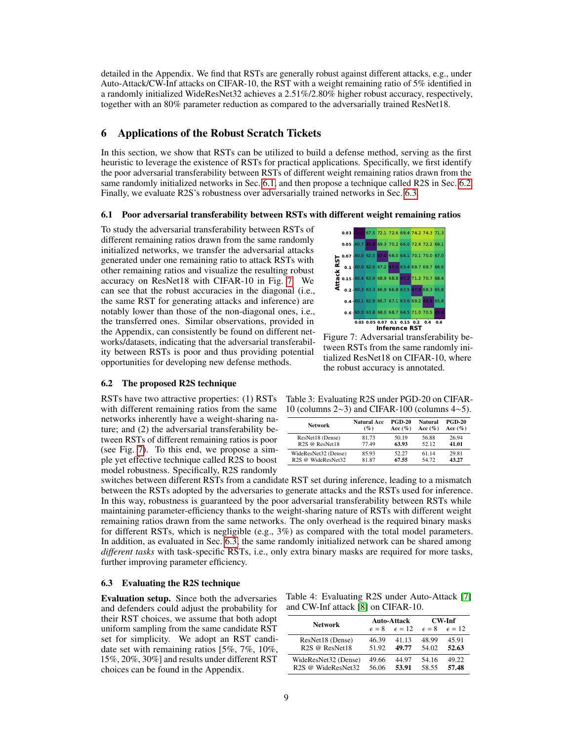detailed in the Appendix. We find that RSTs are generally robust against different attacks, e.g., under Auto-Attack/CW-Inf attacks on CIFAR-10, the RST with a weight remaining ratio of 5% identified in a randomly initialized WideResNet32 achieves a 2.51%/2.80% higher robust accuracy, respectively, together with an 80% parameter reduction as compared to the adversarially trained ResNet18.

# 6 Applications of the Robust Scratch Tickets

In this section, we show that RSTs can be utilized to build a defense method, serving as the first heuristic to leverage the existence of RSTs for practical applications. Specifically, we first identify the poor adversarial transferability between RSTs of different weight remaining ratios drawn from the same randomly initialized networks in Sec. [6.1,](#page-8-0) and then propose a technique called R2S in Sec. [6.2.](#page-8-1) Finally, we evaluate R2S's robustness over adversarially trained networks in Sec. [6.3.](#page-8-2)

#### <span id="page-8-0"></span>6.1 Poor adversarial transferability between RSTs with different weight remaining ratios

To study the adversarial transferability between RSTs of different remaining ratios drawn from the same randomly initialized networks, we transfer the adversarial attacks generated under one remaining ratio to attack RSTs with other remaining ratios and visualize the resulting robust accuracy on ResNet18 with CIFAR-10 in Fig. [7.](#page-8-3) We can see that the robust accuracies in the diagonal (i.e., the same RST for generating attacks and inference) are notably lower than those of the non-diagonal ones, i.e., the transferred ones. Similar observations, provided in the Appendix, can consistently be found on different networks/datasets, indicating that the adversarial transferability between RSTs is poor and thus providing potential opportunities for developing new defense methods.

#### <span id="page-8-1"></span>6.2 The proposed R2S technique

RSTs have two attractive properties: (1) RSTs with different remaining ratios from the same networks inherently have a weight-sharing nature; and (2) the adversarial transferability between RSTs of different remaining ratios is poor (see Fig. [7\)](#page-8-3). To this end, we propose a simple yet effective technique called R2S to boost model robustness. Specifically, R2S randomly

<span id="page-8-3"></span>

Figure 7: Adversarial transferability between RSTs from the same randomly initialized ResNet18 on CIFAR-10, where the robust accuracy is annotated.

<span id="page-8-4"></span>Table 3: Evaluating R2S under PGD-20 on CIFAR-10 (columns 2∼3) and CIFAR-100 (columns 4∼5).

| <b>Network</b>             | <b>Natural Acc</b> | <b>PGD-20</b> | Natural    | <b>PGD-20</b> |
|----------------------------|--------------------|---------------|------------|---------------|
|                            | $($ %)             | Acc $(\%)$    | Acc $(\%)$ | Acc $(\%)$    |
| ResNet18 (Dense)           | 81.73              | 50.19         | 56.88      | 26.94         |
| R <sub>2S</sub> @ ResNet18 | 77.49              | 63.93         | 52.12      | 41.01         |
| WideResNet32 (Dense)       | 85.93              | 52.27         | 61 14      | 29.81         |
| R2S @ WideResNet32         | 81.87              | 67.55         | 54.72      | 43.27         |

switches between different RSTs from a candidate RST set during inference, leading to a mismatch between the RSTs adopted by the adversaries to generate attacks and the RSTs used for inference. In this way, robustness is guaranteed by the poor adversarial transferability between RSTs while maintaining parameter-efficiency thanks to the weight-sharing nature of RSTs with different weight remaining ratios drawn from the same networks. The only overhead is the required binary masks for different RSTs, which is negligible (e.g., 3%) as compared with the total model parameters. In addition, as evaluated in Sec. [6.3,](#page-8-2) the same randomly initialized network can be shared among *different tasks* with task-specific RSTs, i.e., only extra binary masks are required for more tasks, further improving parameter efficiency.

#### <span id="page-8-2"></span>6.3 Evaluating the R2S technique

Evaluation setup. Since both the adversaries and defenders could adjust the probability for their RST choices, we assume that both adopt uniform sampling from the same candidate RST set for simplicity. We adopt an RST candidate set with remaining ratios [5%, 7%, 10%, 15%, 20%, 30%] and results under different RST choices can be found in the Appendix.

<span id="page-8-5"></span>Table 4: Evaluating R2S under Auto-Attack [\[7\]](#page-10-6) and CW-Inf attack [\[8\]](#page-10-7) on CIFAR-10.

| <b>Network</b>                             |       | <b>Auto-Attack</b>                            | CW-Inf |                 |  |
|--------------------------------------------|-------|-----------------------------------------------|--------|-----------------|--|
|                                            |       | $\epsilon = 8$ $\epsilon = 12$ $\epsilon = 8$ |        | $\epsilon = 12$ |  |
| ResNet18 (Dense)                           | 46.39 | 41 13                                         | 48.99  | 45.91           |  |
| R <sub>2S</sub> @ ResNet18                 | 51.92 | 49.77                                         | 54.02  | 52.63           |  |
| WideResNet32 (Dense)                       | 49.66 | 44 97                                         | 54.16  | 49.22           |  |
| R <sub>2S</sub> @ WideResNet <sub>32</sub> | 56.06 | 53.91                                         | 58 55  | 57.48           |  |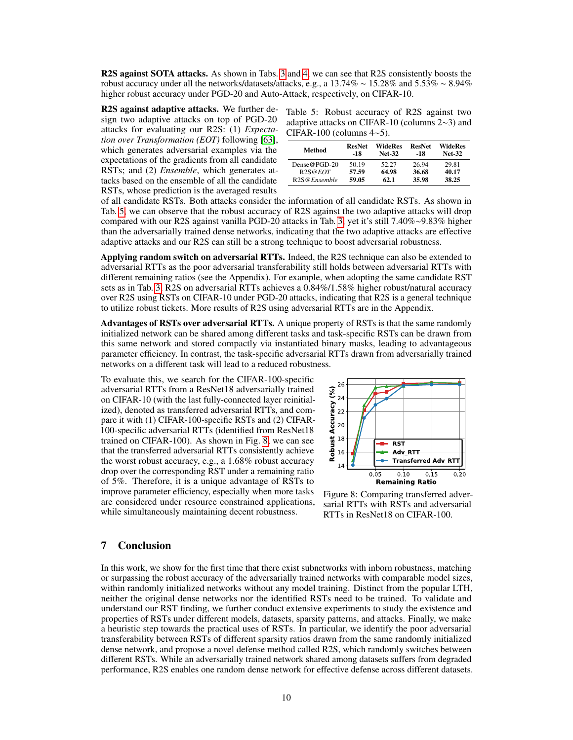R2S against SOTA attacks. As shown in Tabs. [3](#page-8-4) and [4,](#page-8-5) we can see that R2S consistently boosts the robust accuracy under all the networks/datasets/attacks, e.g., a 13.74% ∼ 15.28% and 5.53% ∼ 8.94% higher robust accuracy under PGD-20 and Auto-Attack, respectively, on CIFAR-10.

R2S against adaptive attacks. We further design two adaptive attacks on top of PGD-20 attacks for evaluating our R2S: (1) *Expectation over Transformation (EOT)* following [\[63\]](#page-13-11), which generates adversarial examples via the expectations of the gradients from all candidate RSTs; and (2) *Ensemble*, which generates attacks based on the ensemble of all the candidate RSTs, whose prediction is the averaged results

<span id="page-9-0"></span>Table 5: Robust accuracy of R2S against two adaptive attacks on CIFAR-10 (columns 2∼3) and CIFAR-100 (columns 4∼5).

| Method                            | <b>ResNet</b><br>-18 | WideRes<br><b>Net-32</b> | <b>ResNet</b><br>-18 | WideRes<br><b>Net-32</b> |
|-----------------------------------|----------------------|--------------------------|----------------------|--------------------------|
| Dense@PGD-20                      | 50.19                | 52.27                    | 26.94                | 29.81                    |
| R2S@EOT                           | 57.59                | 64.98                    | 36.68                | 40.17                    |
| R <sub>2</sub> S@ <i>Ensemble</i> | 59.05                | 62.1                     | 35.98                | 38.25                    |

of all candidate RSTs. Both attacks consider the information of all candidate RSTs. As shown in Tab. [5,](#page-9-0) we can observe that the robust accuracy of R2S against the two adaptive attacks will drop compared with our R2S against vanilla PGD-20 attacks in Tab. [3,](#page-8-4) yet it's still 7.40%∼9.83% higher than the adversarially trained dense networks, indicating that the two adaptive attacks are effective adaptive attacks and our R2S can still be a strong technique to boost adversarial robustness.

Applying random switch on adversarial RTTs. Indeed, the R2S technique can also be extended to adversarial RTTs as the poor adversarial transferability still holds between adversarial RTTs with different remaining ratios (see the Appendix). For example, when adopting the same candidate RST sets as in Tab. [3,](#page-8-4) R2S on adversarial RTTs achieves a 0.84%/1.58% higher robust/natural accuracy over R2S using RSTs on CIFAR-10 under PGD-20 attacks, indicating that R2S is a general technique to utilize robust tickets. More results of R2S using adversarial RTTs are in the Appendix.

Advantages of RSTs over adversarial RTTs. A unique property of RSTs is that the same randomly initialized network can be shared among different tasks and task-specific RSTs can be drawn from this same network and stored compactly via instantiated binary masks, leading to advantageous parameter efficiency. In contrast, the task-specific adversarial RTTs drawn from adversarially trained networks on a different task will lead to a reduced robustness.

To evaluate this, we search for the CIFAR-100-specific adversarial RTTs from a ResNet18 adversarially trained on CIFAR-10 (with the last fully-connected layer reinitialized), denoted as transferred adversarial RTTs, and compare it with (1) CIFAR-100-specific RSTs and (2) CIFAR-100-specific adversarial RTTs (identified from ResNet18 trained on CIFAR-100). As shown in Fig. [8,](#page-9-1) we can see that the transferred adversarial RTTs consistently achieve the worst robust accuracy, e.g., a 1.68% robust accuracy drop over the corresponding RST under a remaining ratio of 5%. Therefore, it is a unique advantage of RSTs to improve parameter efficiency, especially when more tasks are considered under resource constrained applications, while simultaneously maintaining decent robustness.

<span id="page-9-1"></span>

Figure 8: Comparing transferred adversarial RTTs with RSTs and adversarial RTTs in ResNet18 on CIFAR-100.

# 7 Conclusion

In this work, we show for the first time that there exist subnetworks with inborn robustness, matching or surpassing the robust accuracy of the adversarially trained networks with comparable model sizes, within randomly initialized networks without any model training. Distinct from the popular LTH, neither the original dense networks nor the identified RSTs need to be trained. To validate and understand our RST finding, we further conduct extensive experiments to study the existence and properties of RSTs under different models, datasets, sparsity patterns, and attacks. Finally, we make a heuristic step towards the practical uses of RSTs. In particular, we identify the poor adversarial transferability between RSTs of different sparsity ratios drawn from the same randomly initialized dense network, and propose a novel defense method called R2S, which randomly switches between different RSTs. While an adversarially trained network shared among datasets suffers from degraded performance, R2S enables one random dense network for effective defense across different datasets.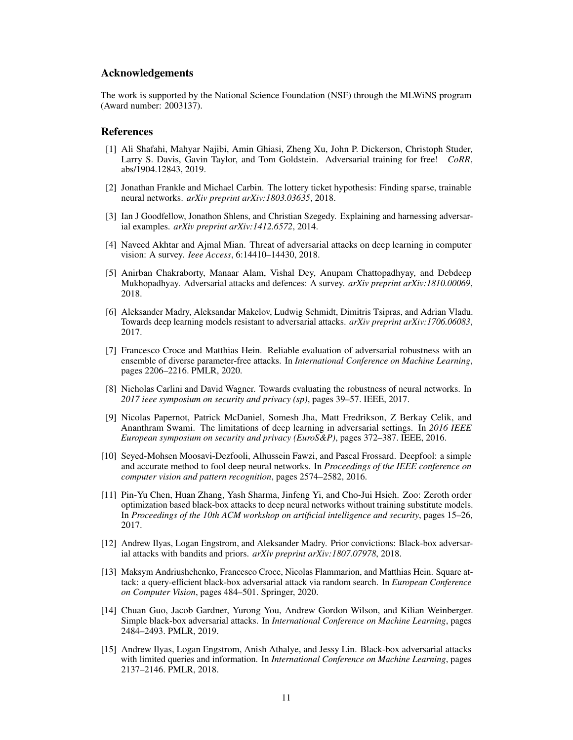## Acknowledgements

The work is supported by the National Science Foundation (NSF) through the MLWiNS program (Award number: 2003137).

### **References**

- <span id="page-10-0"></span>[1] Ali Shafahi, Mahyar Najibi, Amin Ghiasi, Zheng Xu, John P. Dickerson, Christoph Studer, Larry S. Davis, Gavin Taylor, and Tom Goldstein. Adversarial training for free! *CoRR*, abs/1904.12843, 2019.
- <span id="page-10-1"></span>[2] Jonathan Frankle and Michael Carbin. The lottery ticket hypothesis: Finding sparse, trainable neural networks. *arXiv preprint arXiv:1803.03635*, 2018.
- <span id="page-10-2"></span>[3] Ian J Goodfellow, Jonathon Shlens, and Christian Szegedy. Explaining and harnessing adversarial examples. *arXiv preprint arXiv:1412.6572*, 2014.
- <span id="page-10-3"></span>[4] Naveed Akhtar and Ajmal Mian. Threat of adversarial attacks on deep learning in computer vision: A survey. *Ieee Access*, 6:14410–14430, 2018.
- <span id="page-10-4"></span>[5] Anirban Chakraborty, Manaar Alam, Vishal Dey, Anupam Chattopadhyay, and Debdeep Mukhopadhyay. Adversarial attacks and defences: A survey. *arXiv preprint arXiv:1810.00069*, 2018.
- <span id="page-10-5"></span>[6] Aleksander Madry, Aleksandar Makelov, Ludwig Schmidt, Dimitris Tsipras, and Adrian Vladu. Towards deep learning models resistant to adversarial attacks. *arXiv preprint arXiv:1706.06083*, 2017.
- <span id="page-10-6"></span>[7] Francesco Croce and Matthias Hein. Reliable evaluation of adversarial robustness with an ensemble of diverse parameter-free attacks. In *International Conference on Machine Learning*, pages 2206–2216. PMLR, 2020.
- <span id="page-10-7"></span>[8] Nicholas Carlini and David Wagner. Towards evaluating the robustness of neural networks. In *2017 ieee symposium on security and privacy (sp)*, pages 39–57. IEEE, 2017.
- <span id="page-10-8"></span>[9] Nicolas Papernot, Patrick McDaniel, Somesh Jha, Matt Fredrikson, Z Berkay Celik, and Ananthram Swami. The limitations of deep learning in adversarial settings. In *2016 IEEE European symposium on security and privacy (EuroS&P)*, pages 372–387. IEEE, 2016.
- <span id="page-10-9"></span>[10] Seyed-Mohsen Moosavi-Dezfooli, Alhussein Fawzi, and Pascal Frossard. Deepfool: a simple and accurate method to fool deep neural networks. In *Proceedings of the IEEE conference on computer vision and pattern recognition*, pages 2574–2582, 2016.
- <span id="page-10-10"></span>[11] Pin-Yu Chen, Huan Zhang, Yash Sharma, Jinfeng Yi, and Cho-Jui Hsieh. Zoo: Zeroth order optimization based black-box attacks to deep neural networks without training substitute models. In *Proceedings of the 10th ACM workshop on artificial intelligence and security*, pages 15–26, 2017.
- <span id="page-10-11"></span>[12] Andrew Ilyas, Logan Engstrom, and Aleksander Madry. Prior convictions: Black-box adversarial attacks with bandits and priors. *arXiv preprint arXiv:1807.07978*, 2018.
- <span id="page-10-12"></span>[13] Maksym Andriushchenko, Francesco Croce, Nicolas Flammarion, and Matthias Hein. Square attack: a query-efficient black-box adversarial attack via random search. In *European Conference on Computer Vision*, pages 484–501. Springer, 2020.
- <span id="page-10-13"></span>[14] Chuan Guo, Jacob Gardner, Yurong You, Andrew Gordon Wilson, and Kilian Weinberger. Simple black-box adversarial attacks. In *International Conference on Machine Learning*, pages 2484–2493. PMLR, 2019.
- <span id="page-10-14"></span>[15] Andrew Ilyas, Logan Engstrom, Anish Athalye, and Jessy Lin. Black-box adversarial attacks with limited queries and information. In *International Conference on Machine Learning*, pages 2137–2146. PMLR, 2018.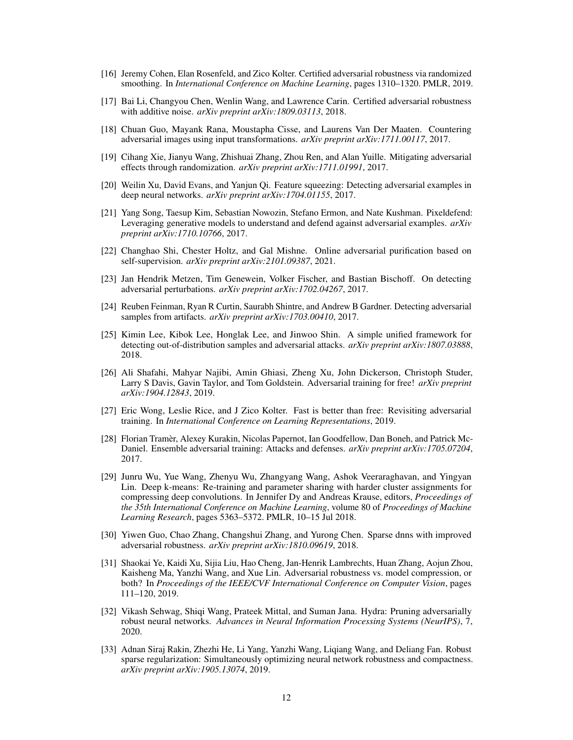- <span id="page-11-0"></span>[16] Jeremy Cohen, Elan Rosenfeld, and Zico Kolter. Certified adversarial robustness via randomized smoothing. In *International Conference on Machine Learning*, pages 1310–1320. PMLR, 2019.
- <span id="page-11-1"></span>[17] Bai Li, Changyou Chen, Wenlin Wang, and Lawrence Carin. Certified adversarial robustness with additive noise. *arXiv preprint arXiv:1809.03113*, 2018.
- <span id="page-11-2"></span>[18] Chuan Guo, Mayank Rana, Moustapha Cisse, and Laurens Van Der Maaten. Countering adversarial images using input transformations. *arXiv preprint arXiv:1711.00117*, 2017.
- <span id="page-11-3"></span>[19] Cihang Xie, Jianyu Wang, Zhishuai Zhang, Zhou Ren, and Alan Yuille. Mitigating adversarial effects through randomization. *arXiv preprint arXiv:1711.01991*, 2017.
- <span id="page-11-4"></span>[20] Weilin Xu, David Evans, and Yanjun Qi. Feature squeezing: Detecting adversarial examples in deep neural networks. *arXiv preprint arXiv:1704.01155*, 2017.
- <span id="page-11-5"></span>[21] Yang Song, Taesup Kim, Sebastian Nowozin, Stefano Ermon, and Nate Kushman. Pixeldefend: Leveraging generative models to understand and defend against adversarial examples. *arXiv preprint arXiv:1710.10766*, 2017.
- <span id="page-11-6"></span>[22] Changhao Shi, Chester Holtz, and Gal Mishne. Online adversarial purification based on self-supervision. *arXiv preprint arXiv:2101.09387*, 2021.
- <span id="page-11-7"></span>[23] Jan Hendrik Metzen, Tim Genewein, Volker Fischer, and Bastian Bischoff. On detecting adversarial perturbations. *arXiv preprint arXiv:1702.04267*, 2017.
- <span id="page-11-8"></span>[24] Reuben Feinman, Ryan R Curtin, Saurabh Shintre, and Andrew B Gardner. Detecting adversarial samples from artifacts. *arXiv preprint arXiv:1703.00410*, 2017.
- <span id="page-11-9"></span>[25] Kimin Lee, Kibok Lee, Honglak Lee, and Jinwoo Shin. A simple unified framework for detecting out-of-distribution samples and adversarial attacks. *arXiv preprint arXiv:1807.03888*, 2018.
- <span id="page-11-10"></span>[26] Ali Shafahi, Mahyar Najibi, Amin Ghiasi, Zheng Xu, John Dickerson, Christoph Studer, Larry S Davis, Gavin Taylor, and Tom Goldstein. Adversarial training for free! *arXiv preprint arXiv:1904.12843*, 2019.
- <span id="page-11-11"></span>[27] Eric Wong, Leslie Rice, and J Zico Kolter. Fast is better than free: Revisiting adversarial training. In *International Conference on Learning Representations*, 2019.
- <span id="page-11-12"></span>[28] Florian Tramèr, Alexey Kurakin, Nicolas Papernot, Ian Goodfellow, Dan Boneh, and Patrick Mc-Daniel. Ensemble adversarial training: Attacks and defenses. *arXiv preprint arXiv:1705.07204*, 2017.
- <span id="page-11-13"></span>[29] Junru Wu, Yue Wang, Zhenyu Wu, Zhangyang Wang, Ashok Veeraraghavan, and Yingyan Lin. Deep k-means: Re-training and parameter sharing with harder cluster assignments for compressing deep convolutions. In Jennifer Dy and Andreas Krause, editors, *Proceedings of the 35th International Conference on Machine Learning*, volume 80 of *Proceedings of Machine Learning Research*, pages 5363–5372. PMLR, 10–15 Jul 2018.
- <span id="page-11-14"></span>[30] Yiwen Guo, Chao Zhang, Changshui Zhang, and Yurong Chen. Sparse dnns with improved adversarial robustness. *arXiv preprint arXiv:1810.09619*, 2018.
- <span id="page-11-15"></span>[31] Shaokai Ye, Kaidi Xu, Sijia Liu, Hao Cheng, Jan-Henrik Lambrechts, Huan Zhang, Aojun Zhou, Kaisheng Ma, Yanzhi Wang, and Xue Lin. Adversarial robustness vs. model compression, or both? In *Proceedings of the IEEE/CVF International Conference on Computer Vision*, pages 111–120, 2019.
- <span id="page-11-16"></span>[32] Vikash Sehwag, Shiqi Wang, Prateek Mittal, and Suman Jana. Hydra: Pruning adversarially robust neural networks. *Advances in Neural Information Processing Systems (NeurIPS)*, 7, 2020.
- <span id="page-11-17"></span>[33] Adnan Siraj Rakin, Zhezhi He, Li Yang, Yanzhi Wang, Liqiang Wang, and Deliang Fan. Robust sparse regularization: Simultaneously optimizing neural network robustness and compactness. *arXiv preprint arXiv:1905.13074*, 2019.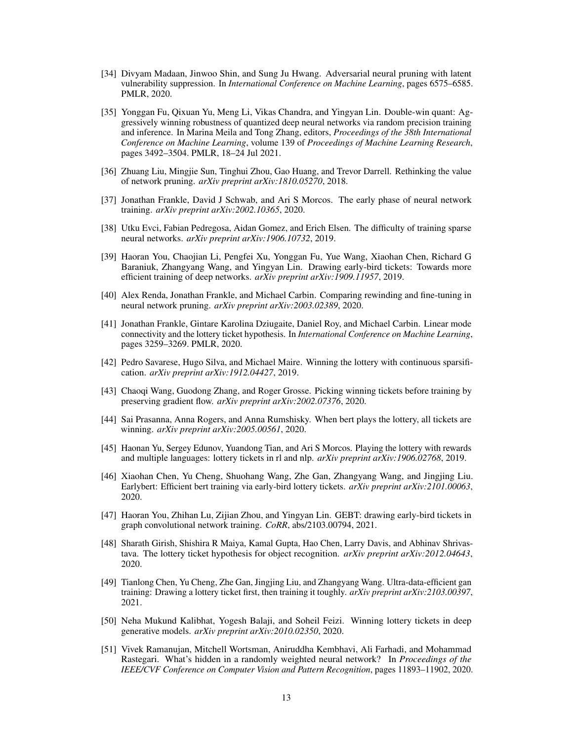- <span id="page-12-0"></span>[34] Divyam Madaan, Jinwoo Shin, and Sung Ju Hwang. Adversarial neural pruning with latent vulnerability suppression. In *International Conference on Machine Learning*, pages 6575–6585. PMLR, 2020.
- <span id="page-12-1"></span>[35] Yonggan Fu, Qixuan Yu, Meng Li, Vikas Chandra, and Yingyan Lin. Double-win quant: Aggressively winning robustness of quantized deep neural networks via random precision training and inference. In Marina Meila and Tong Zhang, editors, *Proceedings of the 38th International Conference on Machine Learning*, volume 139 of *Proceedings of Machine Learning Research*, pages 3492–3504. PMLR, 18–24 Jul 2021.
- <span id="page-12-2"></span>[36] Zhuang Liu, Mingjie Sun, Tinghui Zhou, Gao Huang, and Trevor Darrell. Rethinking the value of network pruning. *arXiv preprint arXiv:1810.05270*, 2018.
- <span id="page-12-3"></span>[37] Jonathan Frankle, David J Schwab, and Ari S Morcos. The early phase of neural network training. *arXiv preprint arXiv:2002.10365*, 2020.
- <span id="page-12-4"></span>[38] Utku Evci, Fabian Pedregosa, Aidan Gomez, and Erich Elsen. The difficulty of training sparse neural networks. *arXiv preprint arXiv:1906.10732*, 2019.
- <span id="page-12-5"></span>[39] Haoran You, Chaojian Li, Pengfei Xu, Yonggan Fu, Yue Wang, Xiaohan Chen, Richard G Baraniuk, Zhangyang Wang, and Yingyan Lin. Drawing early-bird tickets: Towards more efficient training of deep networks. *arXiv preprint arXiv:1909.11957*, 2019.
- <span id="page-12-6"></span>[40] Alex Renda, Jonathan Frankle, and Michael Carbin. Comparing rewinding and fine-tuning in neural network pruning. *arXiv preprint arXiv:2003.02389*, 2020.
- <span id="page-12-7"></span>[41] Jonathan Frankle, Gintare Karolina Dziugaite, Daniel Roy, and Michael Carbin. Linear mode connectivity and the lottery ticket hypothesis. In *International Conference on Machine Learning*, pages 3259–3269. PMLR, 2020.
- <span id="page-12-8"></span>[42] Pedro Savarese, Hugo Silva, and Michael Maire. Winning the lottery with continuous sparsification. *arXiv preprint arXiv:1912.04427*, 2019.
- <span id="page-12-9"></span>[43] Chaoqi Wang, Guodong Zhang, and Roger Grosse. Picking winning tickets before training by preserving gradient flow. *arXiv preprint arXiv:2002.07376*, 2020.
- <span id="page-12-10"></span>[44] Sai Prasanna, Anna Rogers, and Anna Rumshisky. When bert plays the lottery, all tickets are winning. *arXiv preprint arXiv:2005.00561*, 2020.
- <span id="page-12-11"></span>[45] Haonan Yu, Sergey Edunov, Yuandong Tian, and Ari S Morcos. Playing the lottery with rewards and multiple languages: lottery tickets in rl and nlp. *arXiv preprint arXiv:1906.02768*, 2019.
- <span id="page-12-12"></span>[46] Xiaohan Chen, Yu Cheng, Shuohang Wang, Zhe Gan, Zhangyang Wang, and Jingjing Liu. Earlybert: Efficient bert training via early-bird lottery tickets. *arXiv preprint arXiv:2101.00063*, 2020.
- <span id="page-12-13"></span>[47] Haoran You, Zhihan Lu, Zijian Zhou, and Yingyan Lin. GEBT: drawing early-bird tickets in graph convolutional network training. *CoRR*, abs/2103.00794, 2021.
- <span id="page-12-14"></span>[48] Sharath Girish, Shishira R Maiya, Kamal Gupta, Hao Chen, Larry Davis, and Abhinav Shrivastava. The lottery ticket hypothesis for object recognition. *arXiv preprint arXiv:2012.04643*, 2020.
- <span id="page-12-15"></span>[49] Tianlong Chen, Yu Cheng, Zhe Gan, Jingjing Liu, and Zhangyang Wang. Ultra-data-efficient gan training: Drawing a lottery ticket first, then training it toughly. *arXiv preprint arXiv:2103.00397*, 2021.
- <span id="page-12-16"></span>[50] Neha Mukund Kalibhat, Yogesh Balaji, and Soheil Feizi. Winning lottery tickets in deep generative models. *arXiv preprint arXiv:2010.02350*, 2020.
- <span id="page-12-17"></span>[51] Vivek Ramanujan, Mitchell Wortsman, Aniruddha Kembhavi, Ali Farhadi, and Mohammad Rastegari. What's hidden in a randomly weighted neural network? In *Proceedings of the IEEE/CVF Conference on Computer Vision and Pattern Recognition*, pages 11893–11902, 2020.